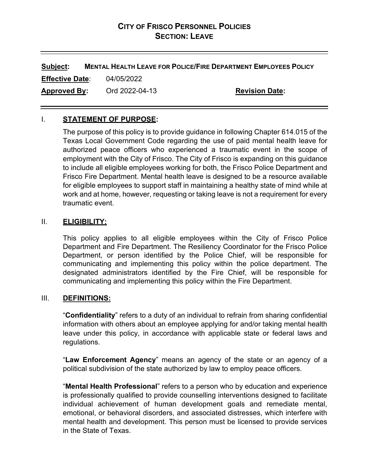# **CITY OF FRISCO PERSONNEL POLICIES SECTION: LEAVE**

**Subject: MENTAL HEALTH LEAVE FOR POLICE/FIRE DEPARTMENT EMPLOYEES POLICY Effective Date**: 04/05/2022 **Approved By:** Ord 2022-04-13 **Revision Date:**

### I. **STATEMENT OF PURPOSE:**

The purpose of this policy is to provide guidance in following Chapter 614.015 of the Texas Local Government Code regarding the use of paid mental health leave for authorized peace officers who experienced a traumatic event in the scope of employment with the City of Frisco. The City of Frisco is expanding on this guidance to include all eligible employees working for both, the Frisco Police Department and Frisco Fire Department. Mental health leave is designed to be a resource available for eligible employees to support staff in maintaining a healthy state of mind while at work and at home, however, requesting or taking leave is not a requirement for every traumatic event.

#### II. **ELIGIBILITY:**

This policy applies to all eligible employees within the City of Frisco Police Department and Fire Department. The Resiliency Coordinator for the Frisco Police Department, or person identified by the Police Chief, will be responsible for communicating and implementing this policy within the police department. The designated administrators identified by the Fire Chief, will be responsible for communicating and implementing this policy within the Fire Department.

#### III. **DEFINITIONS:**

"**Confidentiality**" refers to a duty of an individual to refrain from sharing confidential information with others about an employee applying for and/or taking mental health leave under this policy, in accordance with applicable state or federal laws and regulations.

"**Law Enforcement Agency**" means an agency of the state or an agency of a political subdivision of the state authorized by law to employ peace officers.

"**Mental Health Professional**" refers to a person who by education and experience is professionally qualified to provide counselling interventions designed to facilitate individual achievement of human development goals and remediate mental, emotional, or behavioral disorders, and associated distresses, which interfere with mental health and development. This person must be licensed to provide services in the State of Texas.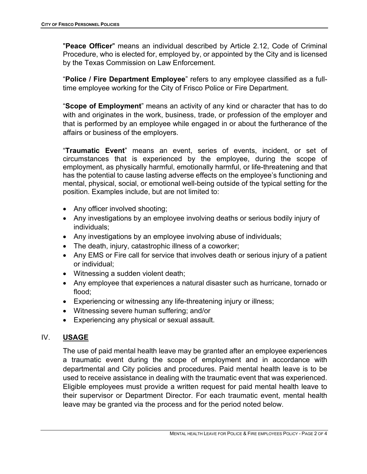"**Peace Officer**" means an individual described by Article 2.12, Code of Criminal Procedure, who is elected for, employed by, or appointed by the City and is licensed by the Texas Commission on Law Enforcement.

"**Police / Fire Department Employee**" refers to any employee classified as a fulltime employee working for the City of Frisco Police or Fire Department.

"**Scope of Employment**" means an activity of any kind or character that has to do with and originates in the work, business, trade, or profession of the employer and that is performed by an employee while engaged in or about the furtherance of the affairs or business of the employers.

"**Traumatic Event**" means an event, series of events, incident, or set of circumstances that is experienced by the employee, during the scope of employment, as physically harmful, emotionally harmful, or life-threatening and that has the potential to cause lasting adverse effects on the employee's functioning and mental, physical, social, or emotional well-being outside of the typical setting for the position. Examples include, but are not limited to:

- Any officer involved shooting;
- Any investigations by an employee involving deaths or serious bodily injury of individuals;
- Any investigations by an employee involving abuse of individuals;
- The death, injury, catastrophic illness of a coworker;
- Any EMS or Fire call for service that involves death or serious injury of a patient or individual;
- Witnessing a sudden violent death;
- Any employee that experiences a natural disaster such as hurricane, tornado or flood;
- Experiencing or witnessing any life-threatening injury or illness;
- Witnessing severe human suffering; and/or
- Experiencing any physical or sexual assault.

#### IV. **USAGE**

The use of paid mental health leave may be granted after an employee experiences a traumatic event during the scope of employment and in accordance with departmental and City policies and procedures. Paid mental health leave is to be used to receive assistance in dealing with the traumatic event that was experienced. Eligible employees must provide a written request for paid mental health leave to their supervisor or Department Director. For each traumatic event, mental health leave may be granted via the process and for the period noted below.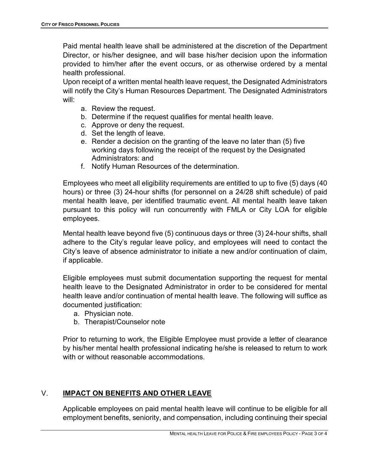Paid mental health leave shall be administered at the discretion of the Department Director, or his/her designee, and will base his/her decision upon the information provided to him/her after the event occurs, or as otherwise ordered by a mental health professional.

Upon receipt of a written mental health leave request, the Designated Administrators will notify the City's Human Resources Department. The Designated Administrators will:

- a. Review the request.
- b. Determine if the request qualifies for mental health leave.
- c. Approve or deny the request.
- d. Set the length of leave.
- e. Render a decision on the granting of the leave no later than (5) five working days following the receipt of the request by the Designated Administrators: and
- f. Notify Human Resources of the determination.

Employees who meet all eligibility requirements are entitled to up to five (5) days (40 hours) or three (3) 24-hour shifts (for personnel on a 24/28 shift schedule) of paid mental health leave, per identified traumatic event. All mental health leave taken pursuant to this policy will run concurrently with FMLA or City LOA for eligible employees.

Mental health leave beyond five (5) continuous days or three (3) 24-hour shifts, shall adhere to the City's regular leave policy, and employees will need to contact the City's leave of absence administrator to initiate a new and/or continuation of claim, if applicable.

Eligible employees must submit documentation supporting the request for mental health leave to the Designated Administrator in order to be considered for mental health leave and/or continuation of mental health leave. The following will suffice as documented justification:

- a. Physician note.
- b. Therapist/Counselor note

Prior to returning to work, the Eligible Employee must provide a letter of clearance by his/her mental health professional indicating he/she is released to return to work with or without reasonable accommodations.

## V. **IMPACT ON BENEFITS AND OTHER LEAVE**

Applicable employees on paid mental health leave will continue to be eligible for all employment benefits, seniority, and compensation, including continuing their special